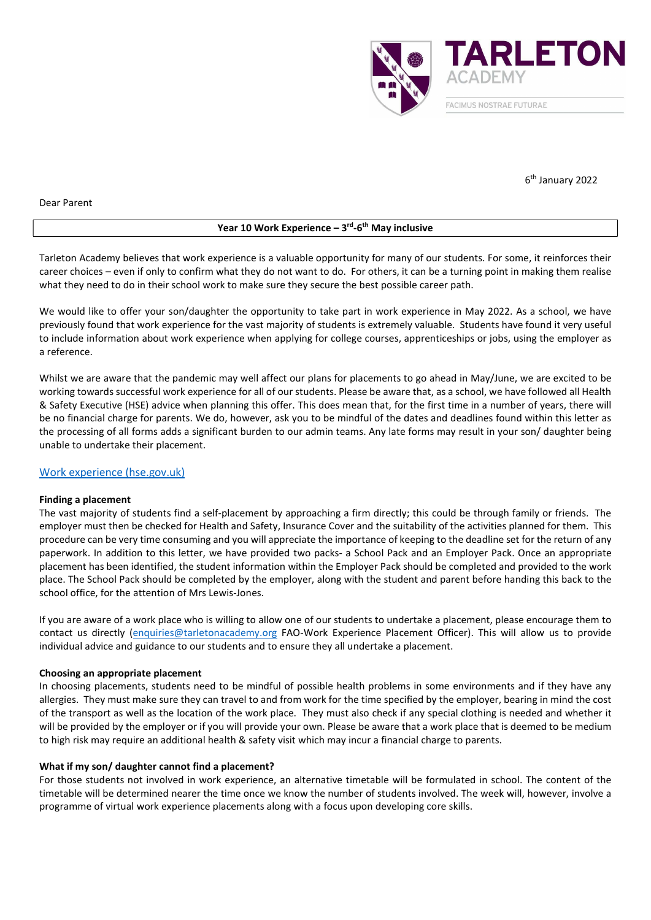

6 th January 2022

Dear Parent

## Year 10 Work Experience – 3<sup>rd</sup>-6<sup>th</sup> May inclusive

Tarleton Academy believes that work experience is a valuable opportunity for many of our students. For some, it reinforces their career choices – even if only to confirm what they do not want to do. For others, it can be a turning point in making them realise what they need to do in their school work to make sure they secure the best possible career path.

We would like to offer your son/daughter the opportunity to take part in work experience in May 2022. As a school, we have previously found that work experience for the vast majority of students is extremely valuable. Students have found it very useful to include information about work experience when applying for college courses, apprenticeships or jobs, using the employer as a reference.

Whilst we are aware that the pandemic may well affect our plans for placements to go ahead in May/June, we are excited to be working towards successful work experience for all of our students. Please be aware that, as a school, we have followed all Health & Safety Executive (HSE) advice when planning this offer. This does mean that, for the first time in a number of years, there will be no financial charge for parents. We do, however, ask you to be mindful of the dates and deadlines found within this letter as the processing of all forms adds a significant burden to our admin teams. Any late forms may result in your son/ daughter being unable to undertake their placement.

# Work experience (hse.gov.uk)

### Finding a placement

The vast majority of students find a self-placement by approaching a firm directly; this could be through family or friends. The employer must then be checked for Health and Safety, Insurance Cover and the suitability of the activities planned for them. This procedure can be very time consuming and you will appreciate the importance of keeping to the deadline set for the return of any paperwork. In addition to this letter, we have provided two packs- a School Pack and an Employer Pack. Once an appropriate placement has been identified, the student information within the Employer Pack should be completed and provided to the work place. The School Pack should be completed by the employer, along with the student and parent before handing this back to the school office, for the attention of Mrs Lewis-Jones.

If you are aware of a work place who is willing to allow one of our students to undertake a placement, please encourage them to contact us directly (enquiries@tarletonacademy.org FAO-Work Experience Placement Officer). This will allow us to provide individual advice and guidance to our students and to ensure they all undertake a placement.

### Choosing an appropriate placement

In choosing placements, students need to be mindful of possible health problems in some environments and if they have any allergies. They must make sure they can travel to and from work for the time specified by the employer, bearing in mind the cost of the transport as well as the location of the work place. They must also check if any special clothing is needed and whether it will be provided by the employer or if you will provide your own. Please be aware that a work place that is deemed to be medium to high risk may require an additional health & safety visit which may incur a financial charge to parents.

### What if my son/ daughter cannot find a placement?

For those students not involved in work experience, an alternative timetable will be formulated in school. The content of the timetable will be determined nearer the time once we know the number of students involved. The week will, however, involve a programme of virtual work experience placements along with a focus upon developing core skills.